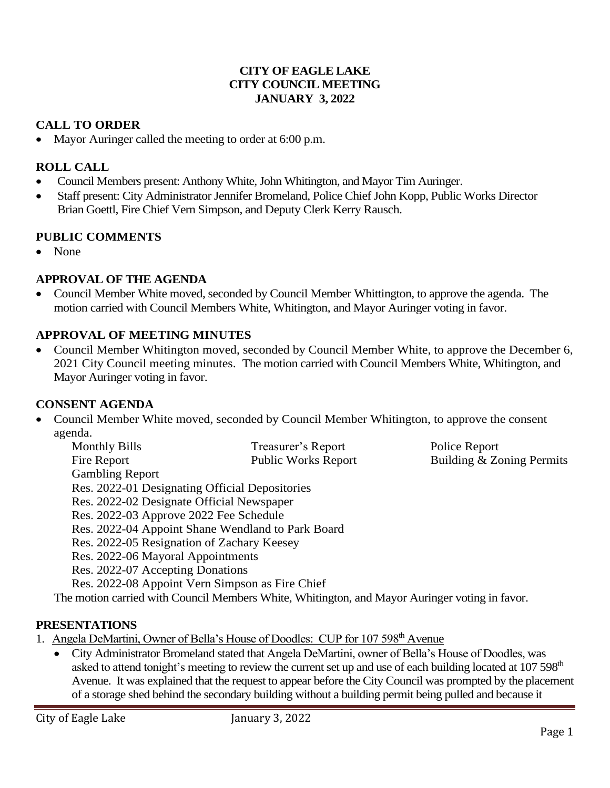### **CITY OF EAGLE LAKE CITY COUNCIL MEETING JANUARY 3, 2022**

## **CALL TO ORDER**

• Mayor Auringer called the meeting to order at 6:00 p.m.

## **ROLL CALL**

- Council Members present: Anthony White, John Whitington, and Mayor Tim Auringer.
- Staff present: City Administrator Jennifer Bromeland, Police Chief John Kopp, Public Works Director Brian Goettl, Fire Chief Vern Simpson, and Deputy Clerk Kerry Rausch.

## **PUBLIC COMMENTS**

• None

## **APPROVAL OF THE AGENDA**

• Council Member White moved, seconded by Council Member Whittington, to approve the agenda. The motion carried with Council Members White, Whitington, and Mayor Auringer voting in favor.

## **APPROVAL OF MEETING MINUTES**

• Council Member Whitington moved, seconded by Council Member White, to approve the December 6, 2021 City Council meeting minutes. The motion carried with Council Members White, Whitington, and Mayor Auringer voting in favor.

### **CONSENT AGENDA**

• Council Member White moved, seconded by Council Member Whitington, to approve the consent agenda.

| <b>Monthly Bills</b>                              | Treasurer's Report         | Police Report             |
|---------------------------------------------------|----------------------------|---------------------------|
| Fire Report                                       | <b>Public Works Report</b> | Building & Zoning Permits |
| <b>Gambling Report</b>                            |                            |                           |
| Res. 2022-01 Designating Official Depositories    |                            |                           |
| Res. 2022-02 Designate Official Newspaper         |                            |                           |
| Res. 2022-03 Approve 2022 Fee Schedule            |                            |                           |
| Res. 2022-04 Appoint Shane Wendland to Park Board |                            |                           |
| Res. 2022-05 Resignation of Zachary Keesey        |                            |                           |
| Res. 2022-06 Mayoral Appointments                 |                            |                           |
| Res. 2022-07 Accepting Donations                  |                            |                           |
| Res. 2022-08 Appoint Vern Simpson as Fire Chief   |                            |                           |

The motion carried with Council Members White, Whitington, and Mayor Auringer voting in favor.

### **PRESENTATIONS**

1. Angela DeMartini, Owner of Bella's House of Doodles: CUP for 107 598<sup>th</sup> Avenue

• City Administrator Bromeland stated that Angela DeMartini, owner of Bella's House of Doodles, was asked to attend tonight's meeting to review the current set up and use of each building located at 107 598<sup>th</sup> Avenue. It was explained that the request to appear before the City Council was prompted by the placement of a storage shed behind the secondary building without a building permit being pulled and because it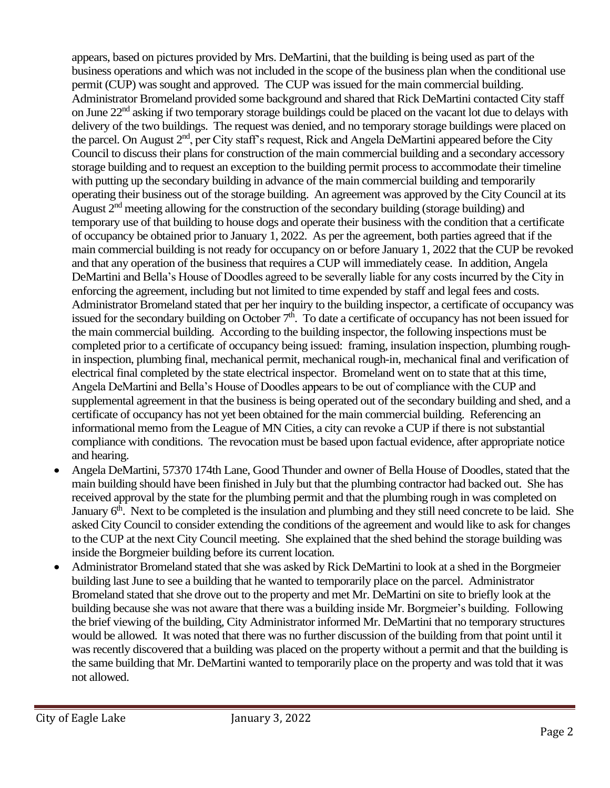appears, based on pictures provided by Mrs. DeMartini, that the building is being used as part of the business operations and which was not included in the scope of the business plan when the conditional use permit (CUP) was sought and approved. The CUP was issued for the main commercial building. Administrator Bromeland provided some background and shared that Rick DeMartini contacted City staff on June 22nd asking if two temporary storage buildings could be placed on the vacant lot due to delays with delivery of the two buildings. The request was denied, and no temporary storage buildings were placed on the parcel. On August 2nd, per City staff's request, Rick and Angela DeMartini appeared before the City Council to discuss their plans for construction of the main commercial building and a secondary accessory storage building and to request an exception to the building permit process to accommodate their timeline with putting up the secondary building in advance of the main commercial building and temporarily operating their business out of the storage building. An agreement was approved by the City Council at its August 2<sup>nd</sup> meeting allowing for the construction of the secondary building (storage building) and temporary use of that building to house dogs and operate their business with the condition that a certificate of occupancy be obtained prior to January 1, 2022. As per the agreement, both parties agreed that if the main commercial building is not ready for occupancy on or before January 1, 2022 that the CUP be revoked and that any operation of the business that requires a CUP will immediately cease. In addition, Angela DeMartini and Bella's House of Doodles agreed to be severally liable for any costs incurred by the City in enforcing the agreement, including but not limited to time expended by staff and legal fees and costs. Administrator Bromeland stated that per her inquiry to the building inspector, a certificate of occupancy was issued for the secondary building on October 7<sup>th</sup>. To date a certificate of occupancy has not been issued for the main commercial building. According to the building inspector, the following inspections must be completed prior to a certificate of occupancy being issued: framing, insulation inspection, plumbing roughin inspection, plumbing final, mechanical permit, mechanical rough-in, mechanical final and verification of electrical final completed by the state electrical inspector. Bromeland went on to state that at this time, Angela DeMartini and Bella's House of Doodles appears to be out of compliance with the CUP and supplemental agreement in that the business is being operated out of the secondary building and shed, and a certificate of occupancy has not yet been obtained for the main commercial building. Referencing an informational memo from the League of MN Cities, a city can revoke a CUP if there is not substantial compliance with conditions. The revocation must be based upon factual evidence, after appropriate notice and hearing.

- Angela DeMartini, 57370 174th Lane, Good Thunder and owner of Bella House of Doodles, stated that the main building should have been finished in July but that the plumbing contractor had backed out. She has received approval by the state for the plumbing permit and that the plumbing rough in was completed on January 6<sup>th</sup>. Next to be completed is the insulation and plumbing and they still need concrete to be laid. She asked City Council to consider extending the conditions of the agreement and would like to ask for changes to the CUP at the next City Council meeting. She explained that the shed behind the storage building was inside the Borgmeier building before its current location.
- Administrator Bromeland stated that she was asked by Rick DeMartini to look at a shed in the Borgmeier building last June to see a building that he wanted to temporarily place on the parcel. Administrator Bromeland stated that she drove out to the property and met Mr. DeMartini on site to briefly look at the building because she was not aware that there was a building inside Mr. Borgmeier's building. Following the brief viewing of the building, City Administrator informed Mr. DeMartini that no temporary structures would be allowed. It was noted that there was no further discussion of the building from that point until it was recently discovered that a building was placed on the property without a permit and that the building is the same building that Mr. DeMartini wanted to temporarily place on the property and was told that it was not allowed.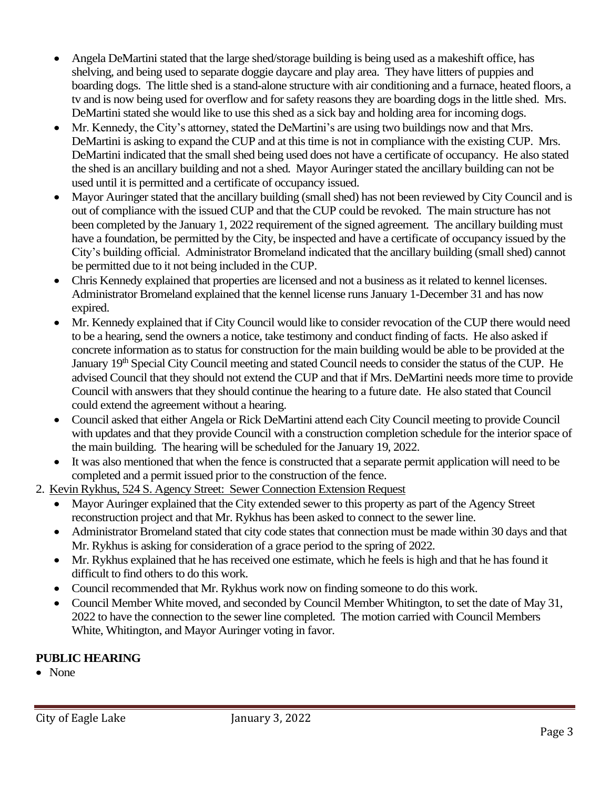- Angela DeMartini stated that the large shed/storage building is being used as a makeshift office, has shelving, and being used to separate doggie daycare and play area. They have litters of puppies and boarding dogs. The little shed is a stand-alone structure with air conditioning and a furnace, heated floors, a tv and is now being used for overflow and for safety reasons they are boarding dogs in the little shed. Mrs. DeMartini stated she would like to use this shed as a sick bay and holding area for incoming dogs.
- Mr. Kennedy, the City's attorney, stated the DeMartini's are using two buildings now and that Mrs. DeMartini is asking to expand the CUP and at this time is not in compliance with the existing CUP. Mrs. DeMartini indicated that the small shed being used does not have a certificate of occupancy. He also stated the shed is an ancillary building and not a shed. Mayor Auringer stated the ancillary building can not be used until it is permitted and a certificate of occupancy issued.
- Mayor Auringer stated that the ancillary building (small shed) has not been reviewed by City Council and is out of compliance with the issued CUP and that the CUP could be revoked. The main structure has not been completed by the January 1, 2022 requirement of the signed agreement. The ancillary building must have a foundation, be permitted by the City, be inspected and have a certificate of occupancy issued by the City's building official. Administrator Bromeland indicated that the ancillary building (small shed) cannot be permitted due to it not being included in the CUP.
- Chris Kennedy explained that properties are licensed and not a business as it related to kennel licenses. Administrator Bromeland explained that the kennel license runs January 1-December 31 and has now expired.
- Mr. Kennedy explained that if City Council would like to consider revocation of the CUP there would need to be a hearing, send the owners a notice, take testimony and conduct finding of facts. He also asked if concrete information as to status for construction for the main building would be able to be provided at the January 19<sup>th</sup> Special City Council meeting and stated Council needs to consider the status of the CUP. He advised Council that they should not extend the CUP and that if Mrs. DeMartini needs more time to provide Council with answers that they should continue the hearing to a future date. He also stated that Council could extend the agreement without a hearing.
- Council asked that either Angela or Rick DeMartini attend each City Council meeting to provide Council with updates and that they provide Council with a construction completion schedule for the interior space of the main building. The hearing will be scheduled for the January 19, 2022.
- It was also mentioned that when the fence is constructed that a separate permit application will need to be completed and a permit issued prior to the construction of the fence.
- 2. Kevin Rykhus, 524 S. Agency Street: Sewer Connection Extension Request
	- Mayor Auringer explained that the City extended sewer to this property as part of the Agency Street reconstruction project and that Mr. Rykhus has been asked to connect to the sewer line.
	- Administrator Bromeland stated that city code states that connection must be made within 30 days and that Mr. Rykhus is asking for consideration of a grace period to the spring of 2022.
	- Mr. Rykhus explained that he has received one estimate, which he feels is high and that he has found it difficult to find others to do this work.
	- Council recommended that Mr. Rykhus work now on finding someone to do this work.
	- Council Member White moved, and seconded by Council Member Whitington, to set the date of May 31, 2022 to have the connection to the sewer line completed. The motion carried with Council Members White, Whitington, and Mayor Auringer voting in favor.

# **PUBLIC HEARING**

• None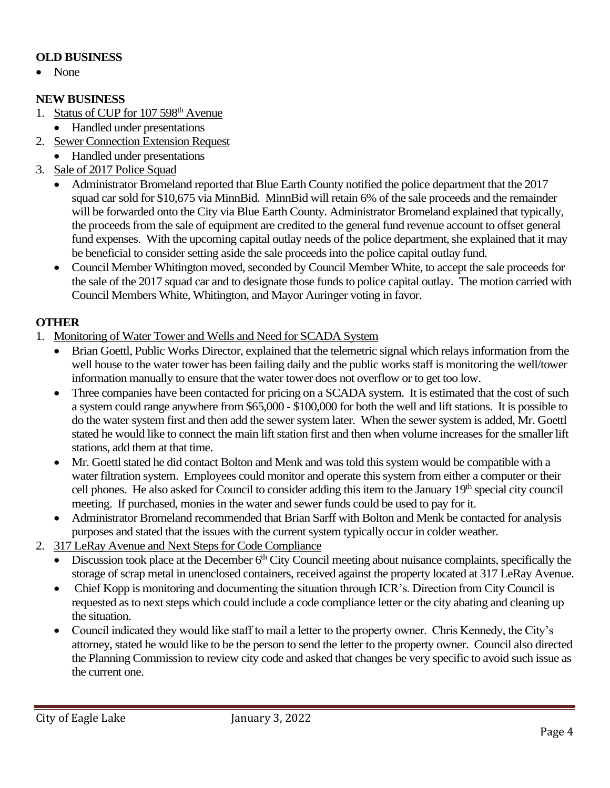### **OLD BUSINESS**

• None

### **NEW BUSINESS**

- 1. Status of CUP for 107 598<sup>th</sup> Avenue
- Handled under presentations
- 2. Sewer Connection Extension Request
	- Handled under presentations
- 3. Sale of 2017 Police Squad
	- Administrator Bromeland reported that Blue Earth County notified the police department that the 2017 squad car sold for \$10,675 via MinnBid. MinnBid will retain 6% of the sale proceeds and the remainder will be forwarded onto the City via Blue Earth County. Administrator Bromeland explained that typically, the proceeds from the sale of equipment are credited to the general fund revenue account to offset general fund expenses. With the upcoming capital outlay needs of the police department, she explained that it may be beneficial to consider setting aside the sale proceeds into the police capital outlay fund.
	- Council Member Whitington moved, seconded by Council Member White, to accept the sale proceeds for the sale of the 2017 squad car and to designate those funds to police capital outlay. The motion carried with Council Members White, Whitington, and Mayor Auringer voting in favor.

## **OTHER**

- 1. Monitoring of Water Tower and Wells and Need for SCADA System
	- Brian Goettl, Public Works Director, explained that the telemetric signal which relays information from the well house to the water tower has been failing daily and the public works staff is monitoring the well/tower information manually to ensure that the water tower does not overflow or to get too low.
	- Three companies have been contacted for pricing on a SCADA system. It is estimated that the cost of such a system could range anywhere from \$65,000 - \$100,000 for both the well and lift stations. It is possible to do the water system first and then add the sewer system later. When the sewer system is added, Mr. Goettl stated he would like to connect the main lift station first and then when volume increases for the smaller lift stations, add them at that time.
	- Mr. Goettl stated he did contact Bolton and Menk and was told this system would be compatible with a water filtration system. Employees could monitor and operate this system from either a computer or their cell phones. He also asked for Council to consider adding this item to the January 19<sup>th</sup> special city council meeting. If purchased, monies in the water and sewer funds could be used to pay for it.
	- Administrator Bromeland recommended that Brian Sarff with Bolton and Menk be contacted for analysis purposes and stated that the issues with the current system typically occur in colder weather.
- 2. 317 LeRay Avenue and Next Steps for Code Compliance
	- Discussion took place at the December  $6<sup>th</sup>$  City Council meeting about nuisance complaints, specifically the storage of scrap metal in unenclosed containers, received against the property located at 317 LeRay Avenue.
	- Chief Kopp is monitoring and documenting the situation through ICR's. Direction from City Council is requested as to next steps which could include a code compliance letter or the city abating and cleaning up the situation.
	- Council indicated they would like staff to mail a letter to the property owner. Chris Kennedy, the City's attorney, stated he would like to be the person to send the letter to the property owner. Council also directed the Planning Commission to review city code and asked that changes be very specific to avoid such issue as the current one.